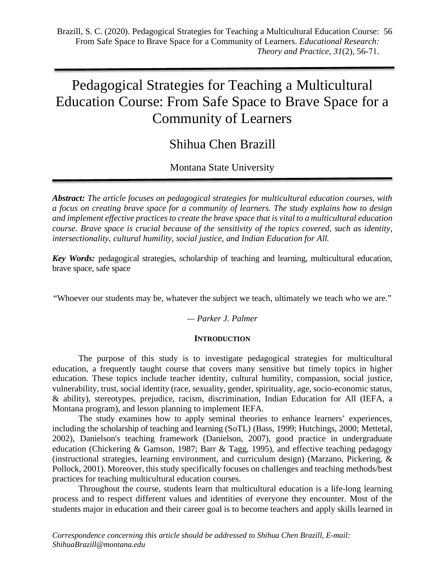# Pedagogical Strategies for Teaching a Multicultural Education Course: From Safe Space to Brave Space for a Community of Learners

Shihua Chen Brazill

Montana State University

*Abstract: The article focuses on pedagogical strategies for multicultural education courses, with a focus on creating brave space for a community of learners. The study explains how to design and implement effective practices to create the brave space that is vital to a multicultural education course. Brave space is crucial because of the sensitivity of the topics covered, such as identity, intersectionality, cultural humility, social justice, and Indian Education for All.*

*Key Words:* pedagogical strategies, scholarship of teaching and learning, multicultural education, brave space, safe space

"Whoever our students may be, whatever the subject we teach, ultimately we teach who we are."

# *— Parker J. Palmer*

# **INTRODUCTION**

The purpose of this study is to investigate pedagogical strategies for multicultural education, a frequently taught course that covers many sensitive but timely topics in higher education. These topics include teacher identity, cultural humility, compassion, social justice, vulnerability, trust, social identity (race, sexuality, gender, spirituality, age, socio-economic status, & ability), stereotypes, prejudice, racism, discrimination, Indian Education for All (IEFA, a Montana program), and lesson planning to implement IEFA.

The study examines how to apply seminal theories to enhance learners' experiences, including the scholarship of teaching and learning (SoTL) (Bass, 1999; Hutchings, 2000; Mettetal, 2002), Danielson's teaching framework (Danielson, 2007), good practice in undergraduate education (Chickering & Gamson, 1987; Barr & Tagg, 1995), and effective teaching pedagogy (instructional strategies, learning environment, and curriculum design) (Marzano, Pickering, & Pollock, 2001). Moreover, this study specifically focuses on challenges and teaching methods/best practices for teaching multicultural education courses.

Throughout the course, students learn that multicultural education is a life-long learning process and to respect different values and identities of everyone they encounter. Most of the students major in education and their career goal is to become teachers and apply skills learned in

*Correspondence concerning this article should be addressed to Shihua Chen Brazill, E-mail: ShihuaBrazill@montana.edu*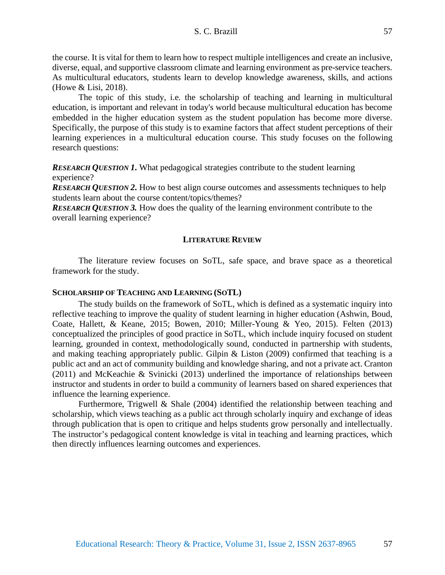the course. It is vital for them to learn how to respect multiple intelligences and create an inclusive, diverse, equal, and supportive classroom climate and learning environment as pre-service teachers. As multicultural educators, students learn to develop knowledge awareness, skills, and actions (Howe & Lisi, 2018).

The topic of this study, i.e. the scholarship of teaching and learning in multicultural education, is important and relevant in today's world because multicultural education has become embedded in the higher education system as the student population has become more diverse. Specifically, the purpose of this study is to examine factors that affect student perceptions of their learning experiences in a multicultural education course. This study focuses on the following research questions:

*RESEARCH QUESTION 1***.** What pedagogical strategies contribute to the student learning experience?

*RESEARCH QUESTION 2*. How to best align course outcomes and assessments techniques to help students learn about the course content/topics/themes?

*RESEARCH QUESTION 3.* How does the quality of the learning environment contribute to the overall learning experience?

## **LITERATURE REVIEW**

The literature review focuses on SoTL, safe space, and brave space as a theoretical framework for the study.

#### **SCHOLARSHIP OF TEACHING AND LEARNING (SOTL)**

The study builds on the framework of SoTL, which is defined as a systematic inquiry into reflective teaching to improve the quality of student learning in higher education (Ashwin, Boud, Coate, Hallett, & Keane, 2015; Bowen, 2010; Miller-Young & Yeo, 2015). Felten (2013) conceptualized the principles of good practice in SoTL, which include inquiry focused on student learning, grounded in context, methodologically sound, conducted in partnership with students, and making teaching appropriately public. Gilpin & Liston (2009) confirmed that teaching is a public act and an act of community building and knowledge sharing, and not a private act. Cranton (2011) and McKeachie & Svinicki (2013) underlined the importance of relationships between instructor and students in order to build a community of learners based on shared experiences that influence the learning experience.

Furthermore, Trigwell & Shale (2004) identified the relationship between teaching and scholarship, which views teaching as a public act through scholarly inquiry and exchange of ideas through publication that is open to critique and helps students grow personally and intellectually. The instructor's pedagogical content knowledge is vital in teaching and learning practices, which then directly influences learning outcomes and experiences.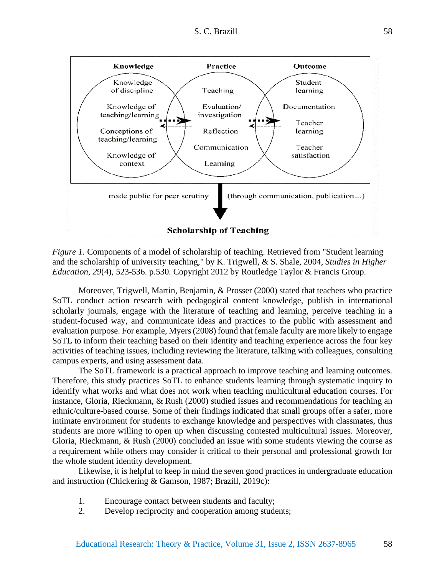

*Figure 1.* Components of a model of scholarship of teaching. Retrieved from "Student learning" and the scholarship of university teaching," by K. Trigwell, & S. Shale, 2004, *Studies in Higher Education*, *29*(4), 523-536. p.530. Copyright 2012 by Routledge Taylor & Francis Group.

Moreover, Trigwell, Martin, Benjamin, & Prosser (2000) stated that teachers who practice SoTL conduct action research with pedagogical content knowledge, publish in international scholarly journals, engage with the literature of teaching and learning, perceive teaching in a student-focused way, and communicate ideas and practices to the public with assessment and evaluation purpose. For example, Myers (2008) found that female faculty are more likely to engage SoTL to inform their teaching based on their identity and teaching experience across the four key activities of teaching issues, including reviewing the literature, talking with colleagues, consulting campus experts, and using assessment data.

The SoTL framework is a practical approach to improve teaching and learning outcomes. Therefore, this study practices SoTL to enhance students learning through systematic inquiry to identify what works and what does not work when teaching multicultural education courses. For instance, Gloria, Rieckmann, & Rush (2000) studied issues and recommendations for teaching an ethnic/culture-based course. Some of their findings indicated that small groups offer a safer, more intimate environment for students to exchange knowledge and perspectives with classmates, thus students are more willing to open up when discussing contested multicultural issues. Moreover, Gloria, Rieckmann, & Rush (2000) concluded an issue with some students viewing the course as a requirement while others may consider it critical to their personal and professional growth for the whole student identity development.

Likewise, it is helpful to keep in mind the seven good practices in undergraduate education and instruction (Chickering & Gamson, 1987; Brazill, 2019c):

- 1. Encourage contact between students and faculty;
- 2. Develop reciprocity and cooperation among students;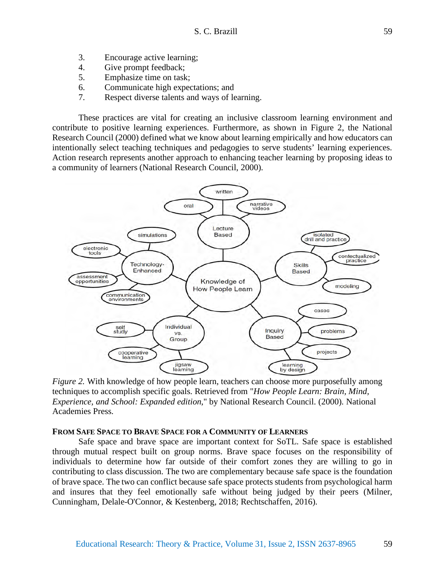- 3. Encourage active learning;
- 4. Give prompt feedback;
- 5. Emphasize time on task;
- 6. Communicate high expectations; and
- 7. Respect diverse talents and ways of learning.

These practices are vital for creating an inclusive classroom learning environment and contribute to positive learning experiences. Furthermore, as shown in Figure 2, the National Research Council (2000) defined what we know about learning empirically and how educators can intentionally select teaching techniques and pedagogies to serve students' learning experiences. Action research represents another approach to enhancing teacher learning by proposing ideas to a community of learners (National Research Council, 2000).



*Figure 2.* With knowledge of how people learn, teachers can choose more purposefully among techniques to accomplish specific goals. Retrieved from "*How People Learn: Brain, Mind, Experience, and School: Expanded edition*," by National Research Council. (2000). National Academies Press.

#### **FROM SAFE SPACE TO BRAVE SPACE FOR A COMMUNITY OF LEARNERS**

Safe space and brave space are important context for SoTL. Safe space is established through mutual respect built on group norms. Brave space focuses on the responsibility of individuals to determine how far outside of their comfort zones they are willing to go in contributing to class discussion. The two are complementary because safe space is the foundation of brave space. The two can conflict because safe space protects students from psychological harm and insures that they feel emotionally safe without being judged by their peers (Milner, Cunningham, Delale-O'Connor, & Kestenberg, 2018; Rechtschaffen, 2016).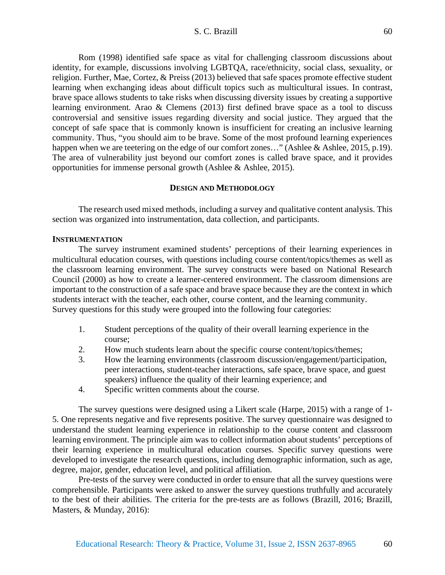Rom (1998) identified safe space as vital for challenging classroom discussions about identity, for example, discussions involving LGBTQA, race/ethnicity, social class, sexuality, or religion. Further, Mae, Cortez, & Preiss (2013) believed that safe spaces promote effective student learning when exchanging ideas about difficult topics such as multicultural issues. In contrast, brave space allows students to take risks when discussing diversity issues by creating a supportive learning environment. Arao & Clemens (2013) first defined brave space as a tool to discuss controversial and sensitive issues regarding diversity and social justice. They argued that the concept of safe space that is commonly known is insufficient for creating an inclusive learning community. Thus, "you should aim to be brave. Some of the most profound learning experiences happen when we are teetering on the edge of our comfort zones..." (Ashlee & Ashlee, 2015, p.19). The area of vulnerability just beyond our comfort zones is called brave space, and it provides opportunities for immense personal growth (Ashlee & Ashlee, 2015).

## **DESIGN AND METHODOLOGY**

The research used mixed methods, including a survey and qualitative content analysis. This section was organized into instrumentation, data collection, and participants.

#### **INSTRUMENTATION**

The survey instrument examined students' perceptions of their learning experiences in multicultural education courses, with questions including course content/topics/themes as well as the classroom learning environment. The survey constructs were based on National Research Council (2000) as how to create a learner-centered environment. The classroom dimensions are important to the construction of a safe space and brave space because they are the context in which students interact with the teacher, each other, course content, and the learning community. Survey questions for this study were grouped into the following four categories:

- 1. Student perceptions of the quality of their overall learning experience in the course;
- 2. How much students learn about the specific course content/topics/themes;
- 3. How the learning environments (classroom discussion/engagement/participation, peer interactions, student-teacher interactions, safe space, brave space, and guest speakers) influence the quality of their learning experience; and
- 4. Specific written comments about the course.

The survey questions were designed using a Likert scale (Harpe, 2015) with a range of 1- 5. One represents negative and five represents positive. The survey questionnaire was designed to understand the student learning experience in relationship to the course content and classroom learning environment. The principle aim was to collect information about students' perceptions of their learning experience in multicultural education courses. Specific survey questions were developed to investigate the research questions, including demographic information, such as age, degree, major, gender, education level, and political affiliation.

Pre-tests of the survey were conducted in order to ensure that all the survey questions were comprehensible. Participants were asked to answer the survey questions truthfully and accurately to the best of their abilities. The criteria for the pre-tests are as follows (Brazill, 2016; Brazill, Masters, & Munday, 2016):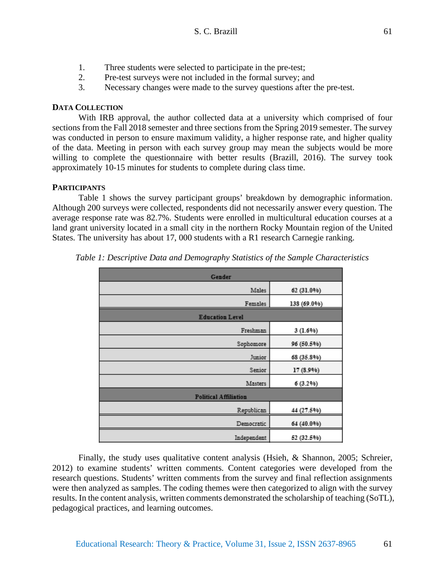- 1. Three students were selected to participate in the pre-test;
- 2. Pre-test surveys were not included in the formal survey; and
- 3. Necessary changes were made to the survey questions after the pre-test.

## **DATA COLLECTION**

With IRB approval, the author collected data at a university which comprised of four sections from the Fall 2018 semester and three sections from the Spring 2019 semester. The survey was conducted in person to ensure maximum validity, a higher response rate, and higher quality of the data. Meeting in person with each survey group may mean the subjects would be more willing to complete the questionnaire with better results (Brazill, 2016). The survey took approximately 10-15 minutes for students to complete during class time.

## **PARTICIPANTS**

Table 1 shows the survey participant groups' breakdown by demographic information. Although 200 surveys were collected, respondents did not necessarily answer every question. The average response rate was 82.7%. Students were enrolled in multicultural education courses at a land grant university located in a small city in the northern Rocky Mountain region of the United States. The university has about 17, 000 students with a R1 research Carnegie ranking.

| Gender                       |             |  |
|------------------------------|-------------|--|
| Males                        | 62 (31.0%)  |  |
| Females                      | 138 (69.0%) |  |
| <b>Education Level</b>       |             |  |
| Freshman                     | 3(1.6%)     |  |
| Sophomore                    | 96 (50.5%)  |  |
| Junior                       | 68 (35.8%)  |  |
| Senior                       | 17 (8.9%)   |  |
| Masters                      | 6(3.2%)     |  |
| <b>Political Affiliation</b> |             |  |
| Republican                   | 44 (27.5%)  |  |
| Democratic                   | 64 (40.0%)  |  |
| Independent                  | 52 (32.5%)  |  |

*Table 1: Descriptive Data and Demography Statistics of the Sample Characteristics*

Finally, the study uses qualitative content analysis (Hsieh, & Shannon, 2005; Schreier, 2012) to examine students' written comments. Content categories were developed from the research questions. Students' written comments from the survey and final reflection assignments were then analyzed as samples. The coding themes were then categorized to align with the survey results. In the content analysis, written comments demonstrated the scholarship of teaching (SoTL), pedagogical practices, and learning outcomes.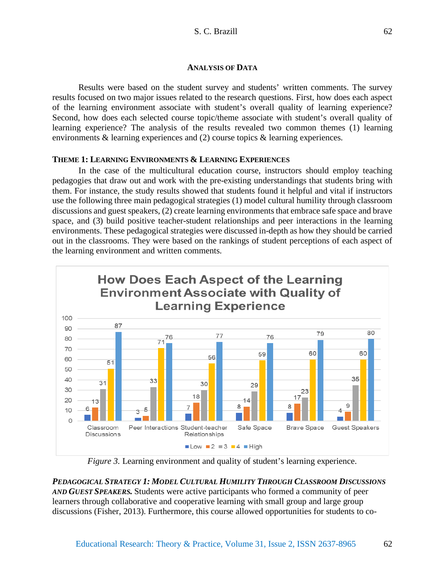#### **ANALYSIS OF DATA**

Results were based on the student survey and students' written comments. The survey results focused on two major issues related to the research questions. First, how does each aspect of the learning environment associate with student's overall quality of learning experience? Second, how does each selected course topic/theme associate with student's overall quality of learning experience? The analysis of the results revealed two common themes (1) learning environments & learning experiences and (2) course topics & learning experiences.

# **THEME 1: LEARNING ENVIRONMENTS & LEARNING EXPERIENCES**

In the case of the multicultural education course, instructors should employ teaching pedagogies that draw out and work with the pre-existing understandings that students bring with them. For instance, the study results showed that students found it helpful and vital if instructors use the following three main pedagogical strategies (1) model cultural humility through classroom discussions and guest speakers, (2) create learning environments that embrace safe space and brave space, and (3) build positive teacher-student relationships and peer interactions in the learning environments. These pedagogical strategies were discussed in-depth as how they should be carried out in the classrooms. They were based on the rankings of student perceptions of each aspect of the learning environment and written comments.



*Figure 3.* Learning environment and quality of student's learning experience.

*PEDAGOGICAL STRATEGY 1: MODEL CULTURAL HUMILITY THROUGH CLASSROOM DISCUSSIONS AND GUEST SPEAKERS.* Students were active participants who formed a community of peer learners through collaborative and cooperative learning with small group and large group discussions (Fisher, 2013). Furthermore, this course allowed opportunities for students to co-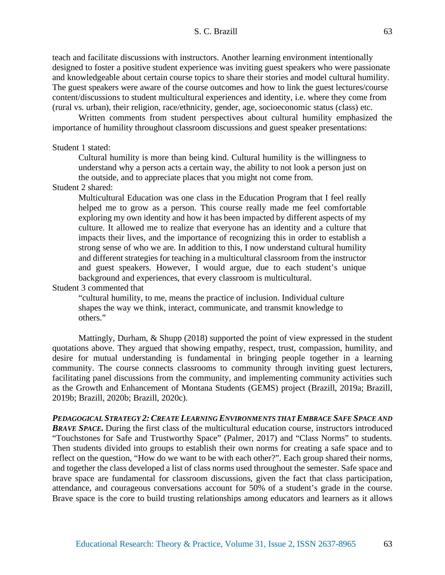teach and facilitate discussions with instructors. Another learning environment intentionally designed to foster a positive student experience was inviting guest speakers who were passionate and knowledgeable about certain course topics to share their stories and model cultural humility. The guest speakers were aware of the course outcomes and how to link the guest lectures/course content/discussions to student multicultural experiences and identity, i.e. where they come from (rural vs. urban), their religion, race/ethnicity, gender, age, socioeconomic status (class) etc.

Written comments from student perspectives about cultural humility emphasized the importance of humility throughout classroom discussions and guest speaker presentations:

#### Student 1 stated:

Cultural humility is more than being kind. Cultural humility is the willingness to understand why a person acts a certain way, the ability to not look a person just on the outside, and to appreciate places that you might not come from.

# Student 2 shared:

Multicultural Education was one class in the Education Program that I feel really helped me to grow as a person. This course really made me feel comfortable exploring my own identity and how it has been impacted by different aspects of my culture. It allowed me to realize that everyone has an identity and a culture that impacts their lives, and the importance of recognizing this in order to establish a strong sense of who we are. In addition to this, I now understand cultural humility and different strategies for teaching in a multicultural classroom from the instructor and guest speakers. However, I would argue, due to each student's unique background and experiences, that every classroom is multicultural.

## Student 3 commented that

"cultural humility, to me, means the practice of inclusion. Individual culture shapes the way we think, interact, communicate, and transmit knowledge to others."

Mattingly, Durham, & Shupp (2018) supported the point of view expressed in the student quotations above. They argued that showing empathy, respect, trust, compassion, humility, and desire for mutual understanding is fundamental in bringing people together in a learning community. The course connects classrooms to community through inviting guest lecturers, facilitating panel discussions from the community, and implementing community activities such as the Growth and Enhancement of Montana Students (GEMS) project (Brazill, 2019a; Brazill, 2019b; Brazill, 2020b; Brazill, 2020c).

*PEDAGOGICAL STRATEGY 2: CREATE LEARNING ENVIRONMENTS THAT EMBRACE SAFE SPACE AND*  **BRAVE SPACE.** During the first class of the multicultural education course, instructors introduced "Touchstones for Safe and Trustworthy Space" (Palmer, 2017) and "Class Norms" to students. Then students divided into groups to establish their own norms for creating a safe space and to reflect on the question, "How do we want to be with each other?". Each group shared their norms, and together the class developed a list of class norms used throughout the semester. Safe space and brave space are fundamental for classroom discussions, given the fact that class participation, attendance, and courageous conversations account for 50% of a student's grade in the course. Brave space is the core to build trusting relationships among educators and learners as it allows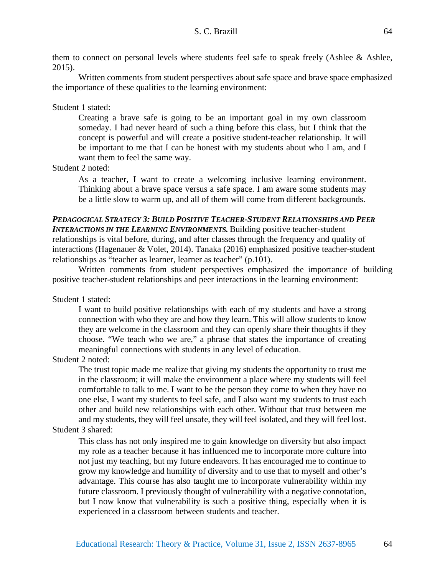them to connect on personal levels where students feel safe to speak freely (Ashlee & Ashlee, 2015).

Written comments from student perspectives about safe space and brave space emphasized the importance of these qualities to the learning environment:

## Student 1 stated:

Creating a brave safe is going to be an important goal in my own classroom someday. I had never heard of such a thing before this class, but I think that the concept is powerful and will create a positive student-teacher relationship. It will be important to me that I can be honest with my students about who I am, and I want them to feel the same way.

Student 2 noted:

As a teacher, I want to create a welcoming inclusive learning environment. Thinking about a brave space versus a safe space. I am aware some students may be a little slow to warm up, and all of them will come from different backgrounds.

# *PEDAGOGICAL STRATEGY 3: BUILD POSITIVE TEACHER-STUDENT RELATIONSHIPS AND PEER INTERACTIONS IN THE LEARNING ENVIRONMENTS.* Building positive teacher-student relationships is vital before, during, and after classes through the frequency and quality of interactions (Hagenauer & Volet, 2014). Tanaka (2016) emphasized positive teacher-student relationships as "teacher as learner, learner as teacher" (p.101).

Written comments from student perspectives emphasized the importance of building positive teacher-student relationships and peer interactions in the learning environment:

Student 1 stated:

I want to build positive relationships with each of my students and have a strong connection with who they are and how they learn. This will allow students to know they are welcome in the classroom and they can openly share their thoughts if they choose. "We teach who we are," a phrase that states the importance of creating meaningful connections with students in any level of education.

Student 2 noted:

The trust topic made me realize that giving my students the opportunity to trust me in the classroom; it will make the environment a place where my students will feel comfortable to talk to me. I want to be the person they come to when they have no one else, I want my students to feel safe, and I also want my students to trust each other and build new relationships with each other. Without that trust between me and my students, they will feel unsafe, they will feel isolated, and they will feel lost.

# Student 3 shared:

This class has not only inspired me to gain knowledge on diversity but also impact my role as a teacher because it has influenced me to incorporate more culture into not just my teaching, but my future endeavors. It has encouraged me to continue to grow my knowledge and humility of diversity and to use that to myself and other's advantage. This course has also taught me to incorporate vulnerability within my future classroom. I previously thought of vulnerability with a negative connotation, but I now know that vulnerability is such a positive thing, especially when it is experienced in a classroom between students and teacher.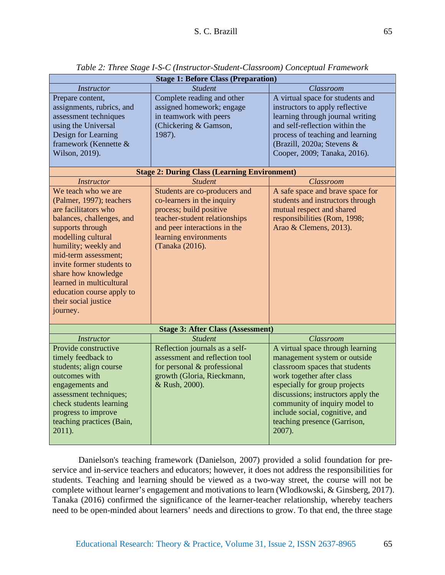| <b>Stage 1: Before Class (Preparation)</b>                                                                                                                                                                                                                                                                                                                                                                                                                                                                                                            |                                                                                                                                                                                                                                                                                                                                                                                                                        |                                                                                                                                                                                                                                                                                                                                                                                                                                      |
|-------------------------------------------------------------------------------------------------------------------------------------------------------------------------------------------------------------------------------------------------------------------------------------------------------------------------------------------------------------------------------------------------------------------------------------------------------------------------------------------------------------------------------------------------------|------------------------------------------------------------------------------------------------------------------------------------------------------------------------------------------------------------------------------------------------------------------------------------------------------------------------------------------------------------------------------------------------------------------------|--------------------------------------------------------------------------------------------------------------------------------------------------------------------------------------------------------------------------------------------------------------------------------------------------------------------------------------------------------------------------------------------------------------------------------------|
| Instructor<br>Prepare content,<br>assignments, rubrics, and<br>assessment techniques<br>using the Universal<br>Design for Learning<br>framework (Kennette &<br>Wilson, 2019).<br><b>Instructor</b><br>We teach who we are<br>(Palmer, 1997); teachers<br>are facilitators who<br>balances, challenges, and<br>supports through<br>modelling cultural<br>humility; weekly and<br>mid-term assessment;<br>invite former students to<br>share how knowledge<br>learned in multicultural<br>education course apply to<br>their social justice<br>journey. | <b>Student</b><br>Complete reading and other<br>assigned homework; engage<br>in teamwork with peers<br>(Chickering & Gamson,<br>1987).<br><b>Stage 2: During Class (Learning Environment)</b><br><b>Student</b><br>Students are co-producers and<br>co-learners in the inquiry<br>process; build positive<br>teacher-student relationships<br>and peer interactions in the<br>learning environments<br>(Tanaka (2016). | Classroom<br>A virtual space for students and<br>instructors to apply reflective<br>learning through journal writing<br>and self-reflection within the<br>process of teaching and learning<br>(Brazill, 2020a; Stevens &<br>Cooper, 2009; Tanaka, 2016).<br>Classroom<br>A safe space and brave space for<br>students and instructors through<br>mutual respect and shared<br>responsibilities (Rom, 1998;<br>Arao & Clemens, 2013). |
| <b>Stage 3: After Class (Assessment)</b>                                                                                                                                                                                                                                                                                                                                                                                                                                                                                                              |                                                                                                                                                                                                                                                                                                                                                                                                                        |                                                                                                                                                                                                                                                                                                                                                                                                                                      |
| <b>Instructor</b>                                                                                                                                                                                                                                                                                                                                                                                                                                                                                                                                     | <b>Student</b>                                                                                                                                                                                                                                                                                                                                                                                                         | Classroom                                                                                                                                                                                                                                                                                                                                                                                                                            |
| Provide constructive<br>timely feedback to<br>students; align course<br>outcomes with<br>engagements and<br>assessment techniques;<br>check students learning<br>progress to improve<br>teaching practices (Bain,<br>2011).                                                                                                                                                                                                                                                                                                                           | Reflection journals as a self-<br>assessment and reflection tool<br>for personal & professional<br>growth (Gloria, Rieckmann,<br>& Rush, 2000).                                                                                                                                                                                                                                                                        | A virtual space through learning<br>management system or outside<br>classroom spaces that students<br>work together after class<br>especially for group projects<br>discussions; instructors apply the<br>community of inquiry model to<br>include social, cognitive, and<br>teaching presence (Garrison,<br>2007).                                                                                                                  |

*Table 2: Three Stage I-S-C (Instructor-Student-Classroom) Conceptual Framework*

Danielson's teaching framework (Danielson, 2007) provided a solid foundation for preservice and in-service teachers and educators; however, it does not address the responsibilities for students. Teaching and learning should be viewed as a two-way street, the course will not be complete without learner's engagement and motivations to learn (Wlodkowski, & Ginsberg, 2017). Tanaka (2016) confirmed the significance of the learner-teacher relationship, whereby teachers need to be open-minded about learners' needs and directions to grow. To that end, the three stage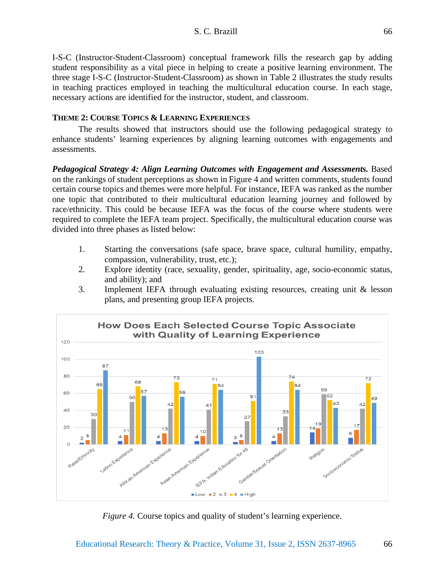I-S-C (Instructor-Student-Classroom) conceptual framework fills the research gap by adding student responsibility as a vital piece in helping to create a positive learning environment. The three stage I-S-C (Instructor-Student-Classroom) as shown in Table 2 illustrates the study results in teaching practices employed in teaching the multicultural education course. In each stage, necessary actions are identified for the instructor, student, and classroom.

# **THEME 2: COURSE TOPICS & LEARNING EXPERIENCES**

The results showed that instructors should use the following pedagogical strategy to enhance students' learning experiences by aligning learning outcomes with engagements and assessments.

*Pedagogical Strategy 4: Align Learning Outcomes with Engagement and Assessments.* Based on the rankings of student perceptions as shown in Figure 4 and written comments, students found certain course topics and themes were more helpful. For instance, IEFA was ranked as the number one topic that contributed to their multicultural education learning journey and followed by race/ethnicity. This could be because IEFA was the focus of the course where students were required to complete the IEFA team project. Specifically, the multicultural education course was divided into three phases as listed below:

- 1. Starting the conversations (safe space, brave space, cultural humility, empathy, compassion, vulnerability, trust, etc.);
- 2. Explore identity (race, sexuality, gender, spirituality, age, socio-economic status, and ability); and
- 3. Implement IEFA through evaluating existing resources, creating unit & lesson plans, and presenting group IEFA projects.



*Figure 4.* Course topics and quality of student's learning experience.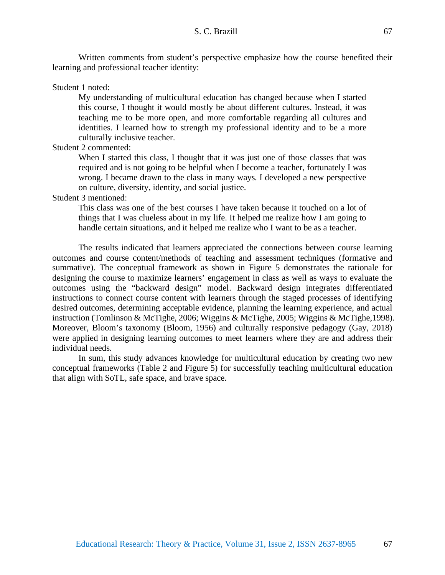Written comments from student's perspective emphasize how the course benefited their learning and professional teacher identity:

Student 1 noted:

My understanding of multicultural education has changed because when I started this course, I thought it would mostly be about different cultures. Instead, it was teaching me to be more open, and more comfortable regarding all cultures and identities. I learned how to strength my professional identity and to be a more culturally inclusive teacher.

Student 2 commented:

When I started this class, I thought that it was just one of those classes that was required and is not going to be helpful when I become a teacher, fortunately I was wrong. I became drawn to the class in many ways. I developed a new perspective on culture, diversity, identity, and social justice.

# Student 3 mentioned:

This class was one of the best courses I have taken because it touched on a lot of things that I was clueless about in my life. It helped me realize how I am going to handle certain situations, and it helped me realize who I want to be as a teacher.

The results indicated that learners appreciated the connections between course learning outcomes and course content/methods of teaching and assessment techniques (formative and summative). The conceptual framework as shown in Figure 5 demonstrates the rationale for designing the course to maximize learners' engagement in class as well as ways to evaluate the outcomes using the "backward design" model. Backward design integrates differentiated instructions to connect course content with learners through the staged processes of identifying desired outcomes, determining acceptable evidence, planning the learning experience, and actual instruction (Tomlinson & McTighe, 2006; Wiggins & McTighe, 2005; Wiggins & McTighe,1998). Moreover, Bloom's taxonomy (Bloom, 1956) and culturally responsive pedagogy (Gay, 2018) were applied in designing learning outcomes to meet learners where they are and address their individual needs.

In sum, this study advances knowledge for multicultural education by creating two new conceptual frameworks (Table 2 and Figure 5) for successfully teaching multicultural education that align with SoTL, safe space, and brave space.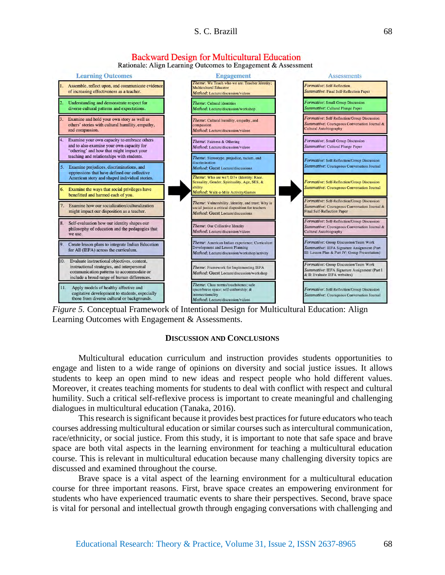

Rationale: Align Learning Outcomes to Engagement & Assessment





#### **DISCUSSION AND CONCLUSIONS**

Multicultural education curriculum and instruction provides students opportunities to engage and listen to a wide range of opinions on diversity and social justice issues. It allows students to keep an open mind to new ideas and respect people who hold different values. Moreover, it creates teaching moments for students to deal with conflict with respect and cultural humility. Such a critical self-reflexive process is important to create meaningful and challenging dialogues in multicultural education (Tanaka, 2016).

This research is significant because it provides best practices for future educators who teach courses addressing multicultural education or similar courses such as intercultural communication, race/ethnicity, or social justice. From this study, it is important to note that safe space and brave space are both vital aspects in the learning environment for teaching a multicultural education course. This is relevant in multicultural education because many challenging diversity topics are discussed and examined throughout the course.

Brave space is a vital aspect of the learning environment for a multicultural education course for three important reasons. First, brave space creates an empowering environment for students who have experienced traumatic events to share their perspectives. Second, brave space is vital for personal and intellectual growth through engaging conversations with challenging and

68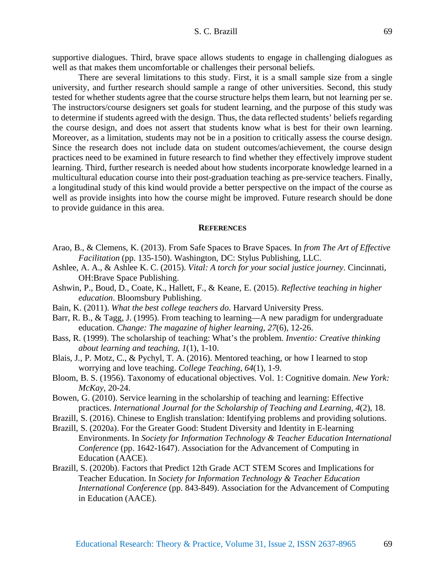supportive dialogues. Third, brave space allows students to engage in challenging dialogues as well as that makes them uncomfortable or challenges their personal beliefs.

There are several limitations to this study. First, it is a small sample size from a single university, and further research should sample a range of other universities. Second, this study tested for whether students agree that the course structure helps them learn, but not learning per se. The instructors/course designers set goals for student learning, and the purpose of this study was to determine if students agreed with the design. Thus, the data reflected students' beliefs regarding the course design, and does not assert that students know what is best for their own learning. Moreover, as a limitation, students may not be in a position to critically assess the course design. Since the research does not include data on student outcomes/achievement, the course design practices need to be examined in future research to find whether they effectively improve student learning. Third, further research is needed about how students incorporate knowledge learned in a multicultural education course into their post-graduation teaching as pre-service teachers. Finally, a longitudinal study of this kind would provide a better perspective on the impact of the course as well as provide insights into how the course might be improved. Future research should be done to provide guidance in this area.

#### **REFERENCES**

- Arao, B., & Clemens, K. (2013). From Safe Spaces to Brave Spaces. In *from The Art of Effective Facilitation* (pp. 135-150). Washington, DC: Stylus Publishing, LLC.
- Ashlee, A. A., & Ashlee K. C. (2015). *Vital: A torch for your social justice journey*. Cincinnati, OH:Brave Space Publishing.
- Ashwin, P., Boud, D., Coate, K., Hallett, F., & Keane, E. (2015). *Reflective teaching in higher education*. Bloomsbury Publishing.
- Bain, K. (2011). *What the best college teachers do*. Harvard University Press.
- Barr, R. B., & Tagg, J. (1995). From teaching to learning—A new paradigm for undergraduate education. *Change: The magazine of higher learning*, *27*(6), 12-26.
- Bass, R. (1999). The scholarship of teaching: What's the problem. *Inventio: Creative thinking about learning and teaching*, *1*(1), 1-10.
- Blais, J., P. Motz, C., & Pychyl, T. A. (2016). Mentored teaching, or how I learned to stop worrying and love teaching. *College Teaching*, *64*(1), 1-9.
- Bloom, B. S. (1956). Taxonomy of educational objectives. Vol. 1: Cognitive domain. *New York: McKay*, 20-24.
- Bowen, G. (2010). Service learning in the scholarship of teaching and learning: Effective practices. *International Journal for the Scholarship of Teaching and Learning*, *4*(2), 18.
- Brazill, S. (2016). Chinese to English translation: Identifying problems and providing solutions.
- Brazill, S. (2020a). For the Greater Good: Student Diversity and Identity in E-learning Environments. In *Society for Information Technology & Teacher Education International Conference* (pp. 1642-1647). Association for the Advancement of Computing in Education (AACE).
- Brazill, S. (2020b). Factors that Predict 12th Grade ACT STEM Scores and Implications for Teacher Education. In *Society for Information Technology & Teacher Education International Conference* (pp. 843-849). Association for the Advancement of Computing in Education (AACE).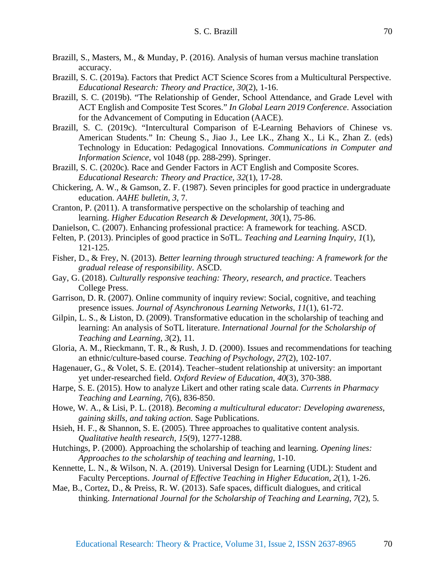- Brazill, S., Masters, M., & Munday, P. (2016). Analysis of human versus machine translation accuracy.
- Brazill, S. C. (2019a). Factors that Predict ACT Science Scores from a Multicultural Perspective. *Educational Research: Theory and Practice, 30*(2), 1-16.
- Brazill, S. C. (2019b). "The Relationship of Gender, School Attendance, and Grade Level with ACT English and Composite Test Scores." *In Global Learn 2019 Conference*. Association for the Advancement of Computing in Education (AACE).
- Brazill, S. C. (2019c). "Intercultural Comparison of E-Learning Behaviors of Chinese vs. American Students." In: Cheung S., Jiao J., Lee LK., Zhang X., Li K., Zhan Z. (eds) Technology in Education: Pedagogical Innovations. *Communications in Computer and Information Science*, vol 1048 (pp. 288-299). Springer.
- Brazill, S. C. (2020c). Race and Gender Factors in ACT English and Composite Scores. *Educational Research: Theory and Practice, 32*(1), 17-28.
- Chickering, A. W., & Gamson, Z. F. (1987). Seven principles for good practice in undergraduate education. *AAHE bulletin*, *3*, 7.
- Cranton, P. (2011). A transformative perspective on the scholarship of teaching and learning. *Higher Education Research & Development*, *30*(1), 75-86.
- Danielson, C. (2007). Enhancing professional practice: A framework for teaching. ASCD.
- Felten, P. (2013). Principles of good practice in SoTL. *Teaching and Learning Inquiry*, *1*(1), 121-125.
- Fisher, D., & Frey, N. (2013). *Better learning through structured teaching: A framework for the gradual release of responsibility*. ASCD.
- Gay, G. (2018). *Culturally responsive teaching: Theory, research, and practice*. Teachers College Press.
- Garrison, D. R. (2007). Online community of inquiry review: Social, cognitive, and teaching presence issues. *Journal of Asynchronous Learning Networks*, *11*(1), 61-72.
- Gilpin, L. S., & Liston, D. (2009). Transformative education in the scholarship of teaching and learning: An analysis of SoTL literature. *International Journal for the Scholarship of Teaching and Learning*, *3*(2), 11.
- Gloria, A. M., Rieckmann, T. R., & Rush, J. D. (2000). Issues and recommendations for teaching an ethnic/culture-based course. *Teaching of Psychology*, *27*(2), 102-107.
- Hagenauer, G., & Volet, S. E. (2014). Teacher–student relationship at university: an important yet under-researched field. *Oxford Review of Education*, *40*(3), 370-388.
- Harpe, S. E. (2015). How to analyze Likert and other rating scale data. *Currents in Pharmacy Teaching and Learning*, *7*(6), 836-850.
- Howe, W. A., & Lisi, P. L. (2018). *Becoming a multicultural educator: Developing awareness, gaining skills, and taking action*. Sage Publications.
- Hsieh, H. F., & Shannon, S. E. (2005). Three approaches to qualitative content analysis. *Qualitative health research, 15*(9), 1277-1288.
- Hutchings, P. (2000). Approaching the scholarship of teaching and learning. *Opening lines: Approaches to the scholarship of teaching and learning*, 1-10.
- Kennette, L. N., & Wilson, N. A. (2019). Universal Design for Learning (UDL): Student and Faculty Perceptions. *Journal of Effective Teaching in Higher Education*, *2*(1), 1-26.
- Mae, B., Cortez, D., & Preiss, R. W. (2013). Safe spaces, difficult dialogues, and critical thinking. *International Journal for the Scholarship of Teaching and Learning*, *7*(2), 5.